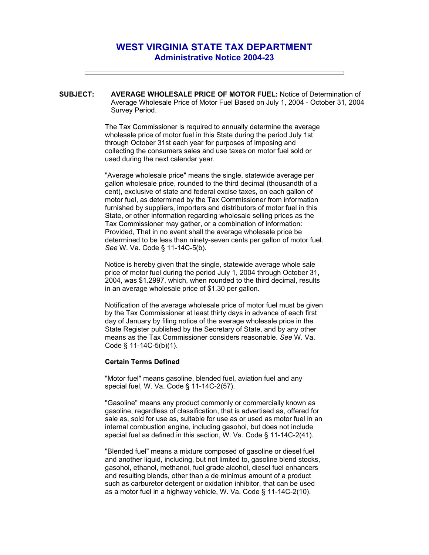## **WEST VIRGINIA STATE TAX DEPARTMENT Administrative Notice 2004-23**

**SUBJECT: AVERAGE WHOLESALE PRICE OF MOTOR FUEL:** Notice of Determination of Average Wholesale Price of Motor Fuel Based on July 1, 2004 - October 31, 2004 Survey Period.

> The Tax Commissioner is required to annually determine the average wholesale price of motor fuel in this State during the period July 1st through October 31st each year for purposes of imposing and collecting the consumers sales and use taxes on motor fuel sold or used during the next calendar year.

"Average wholesale price" means the single, statewide average per gallon wholesale price, rounded to the third decimal (thousandth of a cent), exclusive of state and federal excise taxes, on each gallon of motor fuel, as determined by the Tax Commissioner from information furnished by suppliers, importers and distributors of motor fuel in this State, or other information regarding wholesale selling prices as the Tax Commissioner may gather, or a combination of information: Provided, That in no event shall the average wholesale price be determined to be less than ninety-seven cents per gallon of motor fuel. *See* W. Va. Code § 11-14C-5(b).

Notice is hereby given that the single, statewide average whole sale price of motor fuel during the period July 1, 2004 through October 31, 2004, was \$1.2997, which, when rounded to the third decimal, results in an average wholesale price of \$1.30 per gallon.

Notification of the average wholesale price of motor fuel must be given by the Tax Commissioner at least thirty days in advance of each first day of January by filing notice of the average wholesale price in the State Register published by the Secretary of State, and by any other means as the Tax Commissioner considers reasonable. *See* W. Va. Code § 11-14C-5(b)(1).

## **Certain Terms Defined**

"Motor fuel" means gasoline, blended fuel, aviation fuel and any special fuel, W. Va. Code § 11-14C-2(57).

"Gasoline" means any product commonly or commercially known as gasoline, regardless of classification, that is advertised as, offered for sale as, sold for use as, suitable for use as or used as motor fuel in an internal combustion engine, including gasohol, but does not include special fuel as defined in this section, W. Va. Code § 11-14C-2(41).

"Blended fuel" means a mixture composed of gasoline or diesel fuel and another liquid, including, but not limited to, gasoline blend stocks, gasohol, ethanol, methanol, fuel grade alcohol, diesel fuel enhancers and resulting blends, other than a de minimus amount of a product such as carburetor detergent or oxidation inhibitor, that can be used as a motor fuel in a highway vehicle, W. Va. Code § 11-14C-2(10).